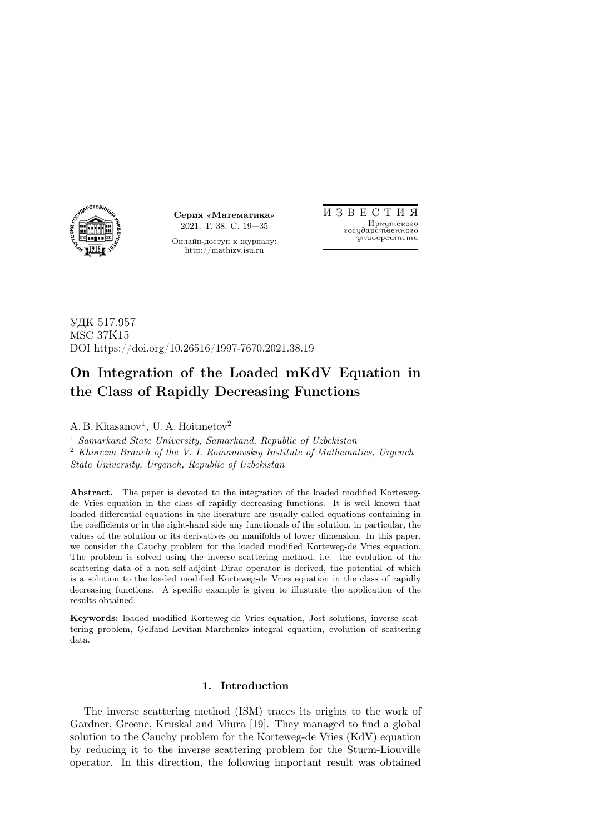

Серия «Математика» 2021. Т. 38. С. 19—35

Онлайн-доступ к журналу: http://mathizv.isu.ru

И З В Е С Т И Я Иркутского государственного университета

УДК 517.957 MSC 37K15 DOI https://doi.org/10.26516/1997-7670.2021.38.19

# On Integration of the Loaded mKdV Equation in the Class of Rapidly Decreasing Functions

A. B. Khasanov<sup>1</sup>, U. A. Hoitmetov<sup>2</sup>

<sup>1</sup> Samarkand State University, Samarkand, Republic of Uzbekistan <sup>2</sup> Khorezm Branch of the V. I. Romanovskiy Institute of Mathematics, Urgench State University, Urgench, Republic of Uzbekistan

Abstract. The paper is devoted to the integration of the loaded modified Kortewegde Vries equation in the class of rapidly decreasing functions. It is well known that loaded differential equations in the literature are usually called equations containing in the coefficients or in the right-hand side any functionals of the solution, in particular, the values of the solution or its derivatives on manifolds of lower dimension. In this paper, we consider the Cauchy problem for the loaded modified Korteweg-de Vries equation. The problem is solved using the inverse scattering method, i.e. the evolution of the scattering data of a non-self-adjoint Dirac operator is derived, the potential of which is a solution to the loaded modified Korteweg-de Vries equation in the class of rapidly decreasing functions. A specific example is given to illustrate the application of the results obtained.

Keywords: loaded modified Korteweg-de Vries equation, Jost solutions, inverse scattering problem, Gelfand-Levitan-Marchenko integral equation, evolution of scattering data.

# 1. Introduction

The inverse scattering method (ISM) traces its origins to the work of Gardner, Greene, Kruskal and Miura [19]. They managed to find a global solution to the Cauchy problem for the Korteweg-de Vries (KdV) equation by reducing it to the inverse scattering problem for the Sturm-Liouville operator. In this direction, the following important result was obtained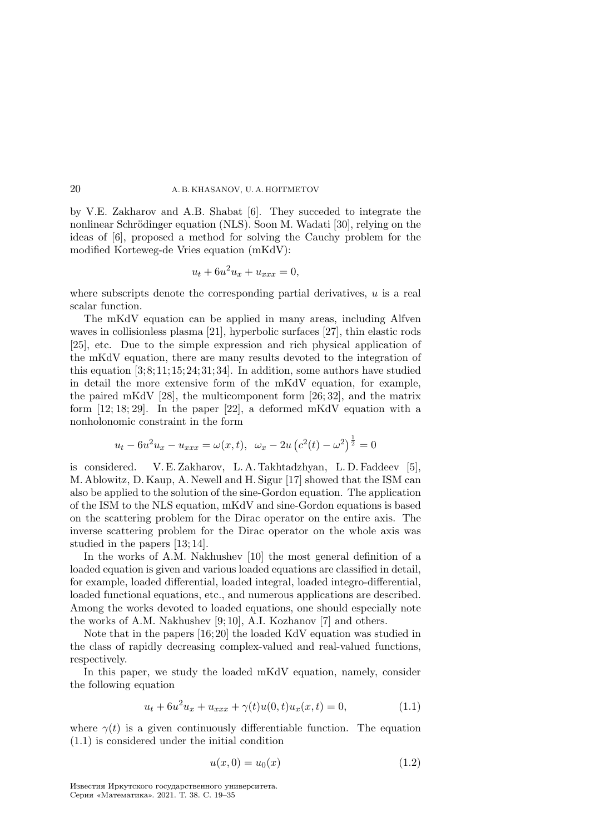by V.E. Zakharov and A.B. Shabat [6]. They succeded to integrate the nonlinear Schrödinger equation (NLS). Soon M. Wadati [30], relying on the ideas of [6], proposed a method for solving the Cauchy problem for the modified Korteweg-de Vries equation (mKdV):

$$
u_t + 6u^2u_x + u_{xxx} = 0,
$$

where subscripts denote the corresponding partial derivatives,  $u$  is a real scalar function.

The mKdV equation can be applied in many areas, including Alfven waves in collisionless plasma [21], hyperbolic surfaces [27], thin elastic rods [25], etc. Due to the simple expression and rich physical application of the mKdV equation, there are many results devoted to the integration of this equation  $[3; 8; 11; 15; 24; 31; 34]$ . In addition, some authors have studied in detail the more extensive form of the mKdV equation, for example, the paired mKdV [28], the multicomponent form [26; 32], and the matrix form  $[12; 18; 29]$ . In the paper  $[22]$ , a deformed mKdV equation with a nonholonomic constraint in the form

$$
u_t - 6u^2 u_x - u_{xxx} = \omega(x, t), \ \omega_x - 2u (c^2(t) - \omega^2)^{\frac{1}{2}} = 0
$$

is considered. V. E. Zakharov, L. A. Takhtadzhyan, L. D. Faddeev [5], M. Ablowitz, D. Kaup, A. Newell and H. Sigur [17] showed that the ISM can also be applied to the solution of the sine-Gordon equation. The application of the ISM to the NLS equation, mKdV and sine-Gordon equations is based on the scattering problem for the Dirac operator on the entire axis. The inverse scattering problem for the Dirac operator on the whole axis was studied in the papers [13; 14].

In the works of A.M. Nakhushev [10] the most general definition of a loaded equation is given and various loaded equations are classified in detail, for example, loaded differential, loaded integral, loaded integro-differential, loaded functional equations, etc., and numerous applications are described. Among the works devoted to loaded equations, one should especially note the works of A.M. Nakhushev [9; 10], A.I. Kozhanov [7] and others.

Note that in the papers [16; 20] the loaded KdV equation was studied in the class of rapidly decreasing complex-valued and real-valued functions, respectively.

In this paper, we study the loaded mKdV equation, namely, consider the following equation

$$
u_t + 6u^2u_x + u_{xxx} + \gamma(t)u(0, t)u_x(x, t) = 0,
$$
\n(1.1)

where  $\gamma(t)$  is a given continuously differentiable function. The equation (1.1) is considered under the initial condition

$$
u(x,0) = u_0(x) \tag{1.2}
$$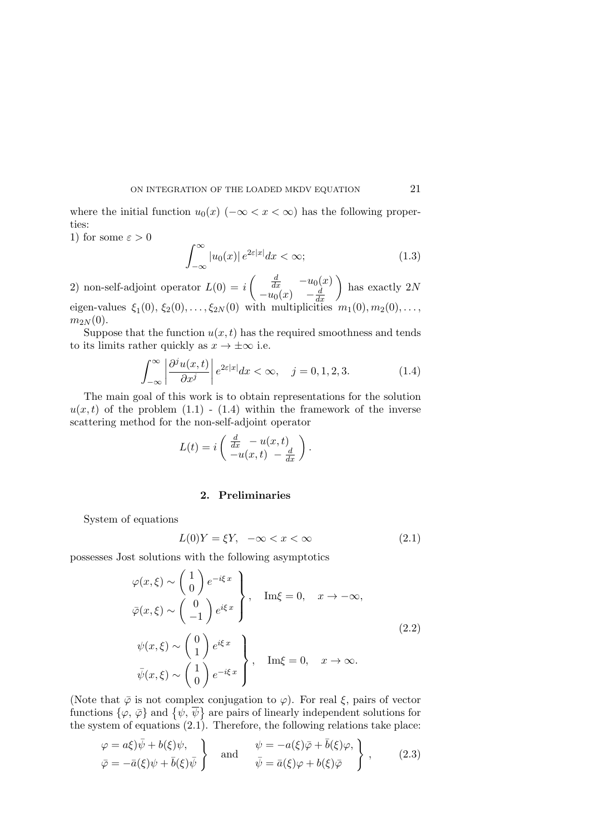where the initial function  $u_0(x)$  ( $-\infty < x < \infty$ ) has the following properties:

1) for some  $\varepsilon > 0$ 

$$
\int_{-\infty}^{\infty} |u_0(x)| e^{2\varepsilon |x|} dx < \infty; \tag{1.3}
$$

2) non-self-adjoint operator  $L(0) = i \begin{pmatrix} \frac{d}{dx} & -u_0(x) \\ 0 & \frac{1}{x} & \frac{1}{x} \end{pmatrix}$  $-u_0(x) -\frac{d}{dx}$  $dx$ ) has exactly  $2N$ eigen-values  $\xi_1(0), \xi_2(0), \ldots, \xi_{2N}(0)$  with multiplicities  $m_1(0), m_2(0), \ldots$ ,  $m_{2N}(0)$ .

Suppose that the function  $u(x, t)$  has the required smoothness and tends to its limits rather quickly as  $x \to \pm \infty$  i.e.

$$
\int_{-\infty}^{\infty} \left| \frac{\partial^j u(x,t)}{\partial x^j} \right| e^{2\varepsilon |x|} dx < \infty, \quad j = 0, 1, 2, 3. \tag{1.4}
$$

The main goal of this work is to obtain representations for the solution  $u(x, t)$  of the problem  $(1.1)$  -  $(1.4)$  within the framework of the inverse scattering method for the non-self-adjoint operator

$$
L(t) = i \left( \frac{\frac{d}{dx} - u(x, t)}{-u(x, t) - \frac{d}{dx}} \right).
$$

## 2. Preliminaries

System of equations

$$
L(0)Y = \xi Y, \quad -\infty < x < \infty \tag{2.1}
$$

possesses Jost solutions with the following asymptotics

$$
\varphi(x,\xi) \sim \begin{pmatrix} 1 \\ 0 \end{pmatrix} e^{-i\xi x} \,, \quad \text{Im}\xi = 0, \quad x \to -\infty,
$$
  

$$
\bar{\varphi}(x,\xi) \sim \begin{pmatrix} 0 \\ -1 \end{pmatrix} e^{i\xi x} \,, \quad \text{Im}\xi = 0, \quad x \to -\infty,
$$
  

$$
\psi(x,\xi) \sim \begin{pmatrix} 0 \\ 1 \end{pmatrix} e^{i\xi x} \,, \quad \text{Im}\xi = 0, \quad x \to \infty.
$$
  

$$
\bar{\psi}(x,\xi) \sim \begin{pmatrix} 1 \\ 0 \end{pmatrix} e^{-i\xi x} \,, \quad \text{Im}\xi = 0, \quad x \to \infty.
$$
 (2.2)

(Note that  $\bar{\varphi}$  is not complex conjugation to  $\varphi$ ). For real  $\xi$ , pairs of vector functions  $\{\varphi, \bar{\varphi}\}\$ and  $\{\psi, \bar{\psi}\}\$ are pairs of linearly independent solutions for the system of equations (2.1). Therefore, the following relations take place:

$$
\varphi = a\xi \overline{\psi} + b(\xi)\psi, \n\overline{\varphi} = -\overline{a}(\xi)\psi + \overline{b}(\xi)\overline{\psi} \qquad \text{and} \qquad \psi = -a(\xi)\overline{\varphi} + \overline{b}(\xi)\varphi, \n\overline{\psi} = \overline{a}(\xi)\varphi + b(\xi)\overline{\varphi} \qquad (2.3)
$$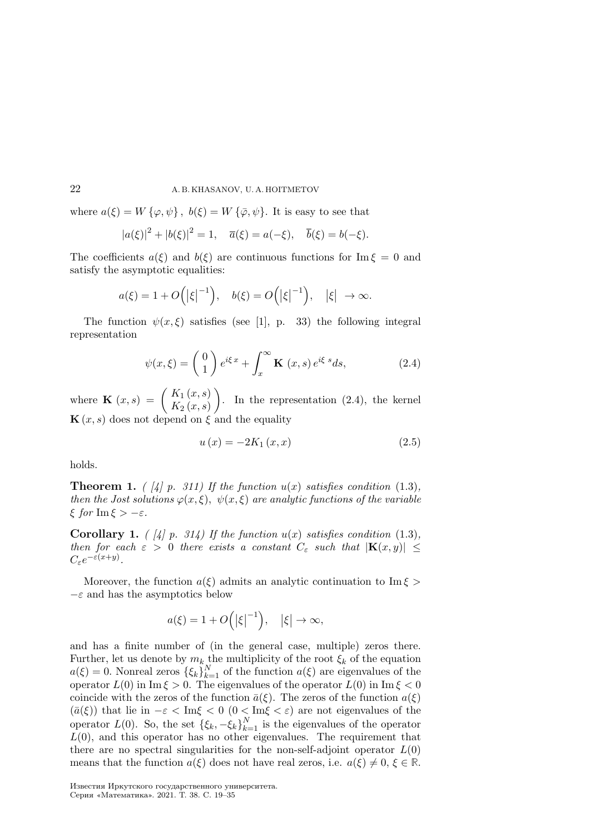where  $a(\xi) = W\{\varphi, \psi\}, b(\xi) = W\{\bar{\varphi}, \psi\}.$  It is easy to see that

$$
|a(\xi)|^2 + |b(\xi)|^2 = 1, \quad \overline{a}(\xi) = a(-\xi), \quad \overline{b}(\xi) = b(-\xi).
$$

The coefficients  $a(\xi)$  and  $b(\xi)$  are continuous functions for Im  $\xi = 0$  and satisfy the asymptotic equalities:

$$
a(\xi) = 1 + O\left(|\xi|^{-1}\right), \quad b(\xi) = O\left(|\xi|^{-1}\right), \quad |\xi| \to \infty.
$$

The function  $\psi(x, \xi)$  satisfies (see [1], p. 33) the following integral representation

$$
\psi(x,\xi) = \begin{pmatrix} 0\\1 \end{pmatrix} e^{i\xi x} + \int_x^{\infty} \mathbf{K}(x,s) e^{i\xi s} ds,
$$
\n(2.4)

where  $\mathbf{K}(x,s) = \begin{pmatrix} K_1(x,s) \\ K_2(x,s) \end{pmatrix}$  $K_2\left( x,s\right)$ ). In the representation  $(2.4)$ , the kernel  $\mathbf{K}(x, s)$  does not depend on  $\xi$  and the equality

$$
u(x) = -2K_1(x, x)
$$
 (2.5)

holds.

**Theorem 1.** ( [4] p. 311) If the function  $u(x)$  satisfies condition (1.3), then the Jost solutions  $\varphi(x, \xi)$ ,  $\psi(x, \xi)$  are analytic functions of the variable  $\xi$  for Im  $\xi > -\varepsilon$ .

**Corollary 1.** ( [4] p. 314) If the function  $u(x)$  satisfies condition (1.3), then for each  $\varepsilon > 0$  there exists a constant  $C_{\varepsilon}$  such that  $|\mathbf{K}(x, y)| \leq$  $C_{\varepsilon}e^{-\varepsilon(x+y)}$ .

Moreover, the function  $a(\xi)$  admits an analytic continuation to Im  $\xi$  $-\varepsilon$  and has the asymptotics below

$$
a(\xi) = 1 + O\Big(|\xi|^{-1}\Big), \quad |\xi| \to \infty,
$$

and has a finite number of (in the general case, multiple) zeros there. Further, let us denote by  $m_k$  the multiplicity of the root  $\xi_k$  of the equation  $a(\xi) = 0$ . Nonreal zeros  $\{\xi_k\}_{k=1}^N$  of the function  $a(\xi)$  are eigenvalues of the operator  $L(0)$  in Im  $\xi > 0$ . The eigenvalues of the operator  $L(0)$  in Im  $\xi < 0$ coincide with the zeros of the function  $\bar{a}(\xi)$ . The zeros of the function  $a(\xi)$  $(\bar{a}(\xi))$  that lie in  $-\varepsilon < \text{Im}\xi < 0$   $(0 < \text{Im}\xi < \varepsilon)$  are not eigenvalues of the operator  $L(0)$ . So, the set  $\{\xi_k, -\xi_k\}_{k=1}^N$  is the eigenvalues of the operator  $L(0)$ , and this operator has no other eigenvalues. The requirement that there are no spectral singularities for the non-self-adjoint operator  $L(0)$ means that the function  $a(\xi)$  does not have real zeros, i.e.  $a(\xi) \neq 0, \xi \in \mathbb{R}$ .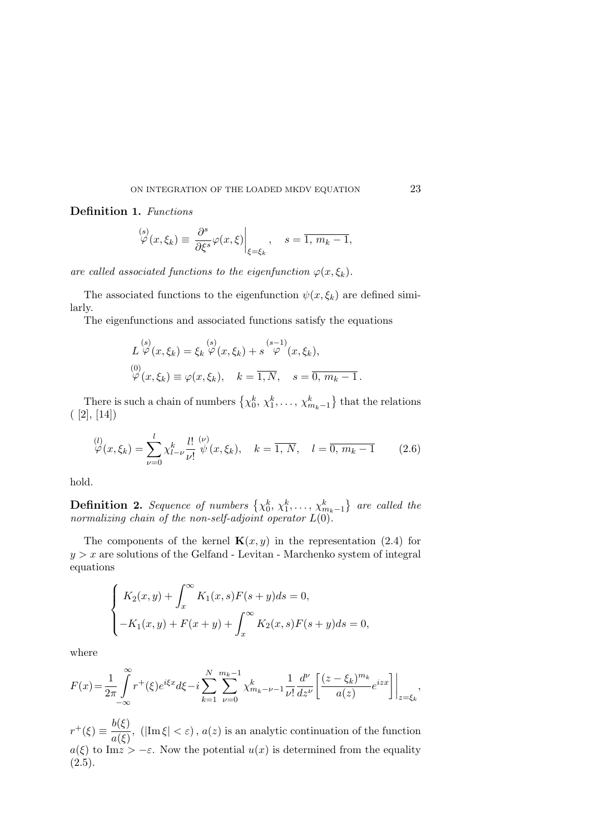## Definition 1. Functions

$$
\overset{(s)}{\varphi}(x,\xi_k) \equiv \left. \frac{\partial^s}{\partial \xi^s} \varphi(x,\xi) \right|_{\xi=\xi_k}, \quad s = \overline{1, m_k - 1},
$$

are called associated functions to the eigenfunction  $\varphi(x, \xi_k)$ .

The associated functions to the eigenfunction  $\psi(x, \xi_k)$  are defined similarly.

The eigenfunctions and associated functions satisfy the equations

$$
L \overset{(s)}{\varphi}(x,\xi_k) = \xi_k \overset{(s)}{\varphi}(x,\xi_k) + s \overset{(s-1)}{\varphi}(x,\xi_k),
$$
  
\n
$$
\overset{(0)}{\varphi}(x,\xi_k) \equiv \varphi(x,\xi_k), \quad k = \overline{1,N}, \quad s = \overline{0,m_k - 1}.
$$

There is such a chain of numbers  $\{\chi_0^k, \chi_1^k, \ldots, \chi_{m_k-1}^k\}$  that the relations  $([2], [14])$ 

$$
\varphi^{(l)}(\mathbf{x}, \xi_k) = \sum_{\nu=0}^{l} \chi_{l-\nu}^k \frac{l!}{\nu!} \stackrel{(\nu)}{\psi}(\mathbf{x}, \xi_k), \quad k = \overline{1, N}, \quad l = \overline{0, m_k - 1} \tag{2.6}
$$

hold.

**Definition 2.** Sequence of numbers  $\{x_0^k, x_1^k, \ldots, x_{m_k-1}^k\}$  are called the normalizing chain of the non-self-adjoint operator  $L(0)$ .

The components of the kernel  $\mathbf{K}(x, y)$  in the representation (2.4) for  $y > x$  are solutions of the Gelfand - Levitan - Marchenko system of integral equations

$$
\begin{cases} K_2(x,y) + \int_x^{\infty} K_1(x,s)F(s+y)ds = 0, \\ -K_1(x,y) + F(x+y) + \int_x^{\infty} K_2(x,s)F(s+y)ds = 0, \end{cases}
$$

where

$$
F(x) = \frac{1}{2\pi} \int_{-\infty}^{\infty} r^+(\xi) e^{i\xi x} d\xi - i \sum_{k=1}^{N} \sum_{\nu=0}^{m_k - 1} \chi_{m_k - \nu - 1}^k \frac{1}{\nu!} \frac{d^{\nu}}{dz^{\nu}} \left[ \frac{(z - \xi_k)^{m_k}}{a(z)} e^{izx} \right] \Big|_{z = \xi_k},
$$

 $r^+(\xi) \equiv \frac{b(\xi)}{(\xi)}$  $\frac{\partial(\mathbf{y})}{\partial a(\xi)}$ , (|Im  $\xi$ | <  $\varepsilon$ ),  $a(z)$  is an analytic continuation of the function  $a(\xi)$  to Im  $z > -\varepsilon$ . Now the potential  $u(x)$  is determined from the equality  $(2.5).$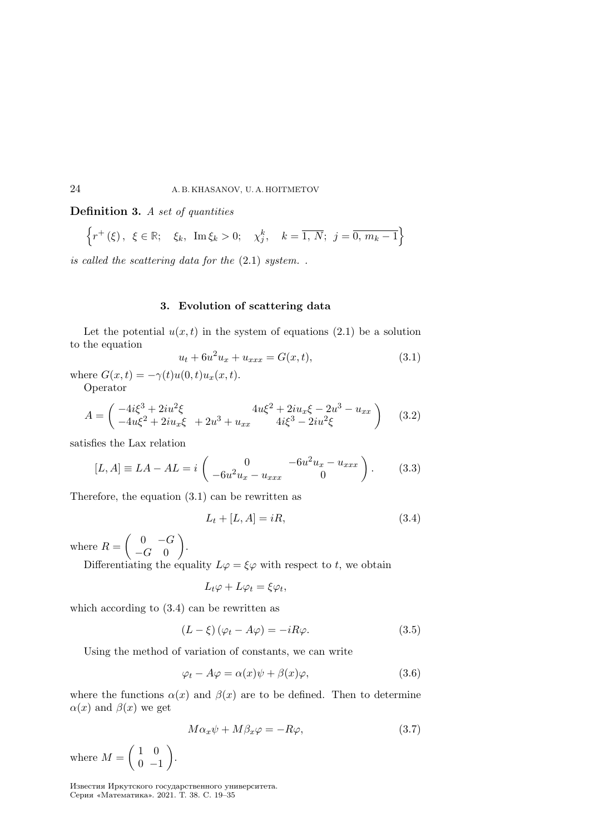Definition 3. A set of quantities

$$
\left\{r^{+}\left(\xi\right), \ \xi \in \mathbb{R}; \ \ \xi_{k}, \ \ \text{Im}\,\xi_{k} > 0; \ \ \chi_{j}^{k}, \ \ k = \overline{1, \ N}; \ \ j = \overline{0, \ m_{k} - 1}\right\}
$$

is called the scattering data for the (2.1) system. .

#### 3. Evolution of scattering data

Let the potential  $u(x, t)$  in the system of equations (2.1) be a solution to the equation

$$
u_t + 6u^2 u_x + u_{xxx} = G(x, t),
$$
\n(3.1)

where  $G(x, t) = -\gamma(t)u(0, t)u_x(x, t)$ .

Operator

$$
A = \begin{pmatrix} -4i\xi^3 + 2iu^2\xi & 4u\xi^2 + 2iu_x\xi - 2u^3 - u_{xx} \\ -4u\xi^2 + 2iu_x\xi & +2u^3 + u_{xx} & 4i\xi^3 - 2iu^2\xi \end{pmatrix}
$$
 (3.2)

satisfies the Lax relation

$$
[L, A] \equiv LA - AL = i \begin{pmatrix} 0 & -6u^2u_x - u_{xxx} \\ -6u^2u_x - u_{xxx} & 0 \end{pmatrix}.
$$
 (3.3)

Therefore, the equation (3.1) can be rewritten as

$$
L_t + [L, A] = iR,\t\t(3.4)
$$

where  $R = \begin{pmatrix} 0 & -G \\ 0 & 0 \end{pmatrix}$  $-G \quad 0$  $\bigg)$ .

Differentiating the equality  $L\varphi = \xi\varphi$  with respect to t, we obtain

$$
L_t \varphi + L\varphi_t = \xi \varphi_t,
$$

which according to  $(3.4)$  can be rewritten as

$$
(L - \xi)(\varphi_t - A\varphi) = -iR\varphi.
$$
\n(3.5)

Using the method of variation of constants, we can write

$$
\varphi_t - A\varphi = \alpha(x)\psi + \beta(x)\varphi, \tag{3.6}
$$

where the functions  $\alpha(x)$  and  $\beta(x)$  are to be defined. Then to determine  $\alpha(x)$  and  $\beta(x)$  we get

$$
M\alpha_x \psi + M\beta_x \varphi = -R\varphi,\tag{3.7}
$$

where  $M = \begin{pmatrix} 1 & 0 \\ 0 & 0 \end{pmatrix}$  $0 -1$  $\big).$ 

Известия Иркутского государственного университета. Серия «Математика». 2021. Т. 38. С. 19–35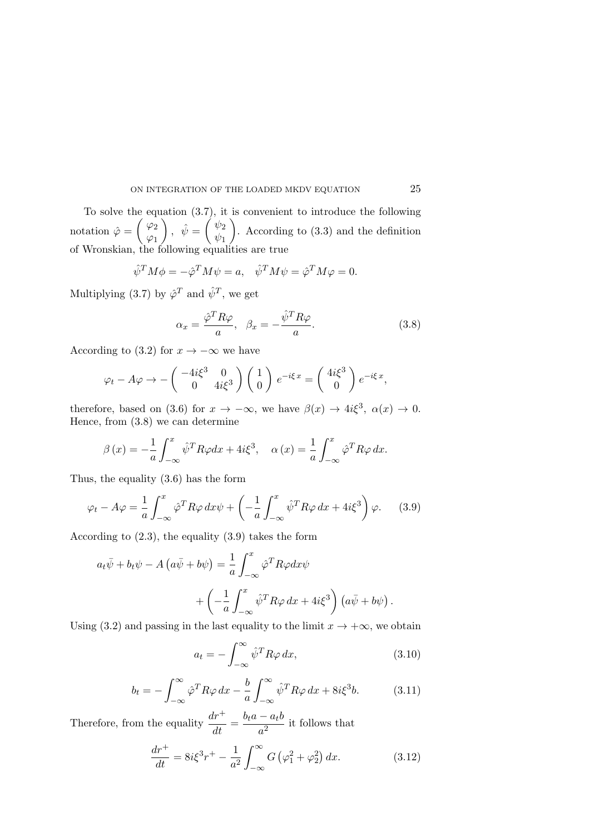To solve the equation (3.7), it is convenient to introduce the following notation  $\hat{\varphi} = \begin{pmatrix} \varphi_2 \\ \varphi_1 \end{pmatrix}$  $\varphi_1$  $\bigg), \ \hat{\psi} = \left(\begin{array}{c} \psi_2 \\ \psi_2 \end{array}\right)$  $\psi_1$ ). According to  $(3.3)$  and the definition of Wronskian, the following equalities are true

$$
\hat{\psi}^T M \phi = -\hat{\varphi}^T M \psi = a, \quad \hat{\psi}^T M \psi = \hat{\varphi}^T M \varphi = 0.
$$

Multiplying (3.7) by  $\hat{\varphi}^T$  and  $\hat{\psi}^T$ , we get

$$
\alpha_x = \frac{\hat{\varphi}^T R \varphi}{a}, \quad \beta_x = -\frac{\hat{\psi}^T R \varphi}{a}.
$$
\n(3.8)

According to (3.2) for  $x \to -\infty$  we have

$$
\varphi_t - A\varphi \to -\begin{pmatrix} -4i\xi^3 & 0 \\ 0 & 4i\xi^3 \end{pmatrix} \begin{pmatrix} 1 \\ 0 \end{pmatrix} e^{-i\xi x} = \begin{pmatrix} 4i\xi^3 \\ 0 \end{pmatrix} e^{-i\xi x},
$$

therefore, based on (3.6) for  $x \to -\infty$ , we have  $\beta(x) \to 4i\xi^3$ ,  $\alpha(x) \to 0$ . Hence, from (3.8) we can determine

$$
\beta(x) = -\frac{1}{a} \int_{-\infty}^{x} \hat{\psi}^T R \varphi dx + 4i\xi^3, \quad \alpha(x) = \frac{1}{a} \int_{-\infty}^{x} \hat{\varphi}^T R \varphi dx.
$$

Thus, the equality (3.6) has the form

$$
\varphi_t - A\varphi = \frac{1}{a} \int_{-\infty}^x \hat{\varphi}^T R \varphi \, dx \psi + \left( -\frac{1}{a} \int_{-\infty}^x \hat{\psi}^T R \varphi \, dx + 4i \xi^3 \right) \varphi. \tag{3.9}
$$

According to (2.3), the equality (3.9) takes the form

$$
a_t\bar{\psi} + b_t\psi - A\left(a\bar{\psi} + b\psi\right) = \frac{1}{a}\int_{-\infty}^x \hat{\varphi}^T R\varphi dx\psi
$$

$$
+ \left(-\frac{1}{a}\int_{-\infty}^x \hat{\psi}^T R\varphi dx + 4i\xi^3\right)\left(a\bar{\psi} + b\psi\right).
$$

Using (3.2) and passing in the last equality to the limit  $x \to +\infty$ , we obtain

$$
a_t = -\int_{-\infty}^{\infty} \hat{\psi}^T R \varphi \, dx,\tag{3.10}
$$

$$
b_t = -\int_{-\infty}^{\infty} \hat{\varphi}^T R \varphi \, dx - \frac{b}{a} \int_{-\infty}^{\infty} \hat{\psi}^T R \varphi \, dx + 8i\xi^3 b. \tag{3.11}
$$

Therefore, from the equality  $\frac{dr^+}{dt} = \frac{b_t a - a_t b}{a^2}$  $\frac{a_1^2}{a^2}$  it follows that

$$
\frac{dr^+}{dt} = 8i\xi^3 r^+ - \frac{1}{a^2} \int_{-\infty}^{\infty} G\left(\varphi_1^2 + \varphi_2^2\right) dx.
$$
 (3.12)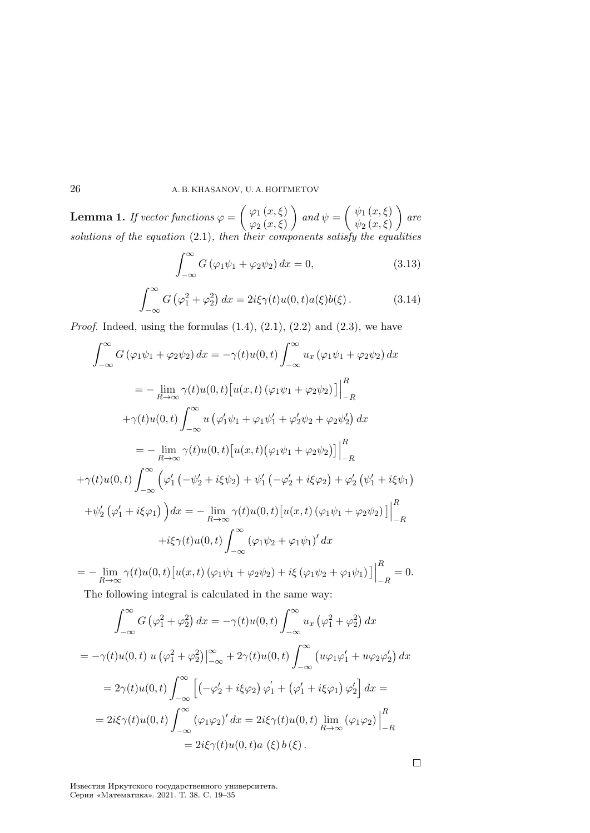**Lemma 1.** If vector functions  $\varphi = \begin{pmatrix} \varphi_1(x,\xi) \\ \varphi_2(x,\xi) \end{pmatrix}$  $\varphi_{2} \left( x, \xi \right)$  $\int$  and  $\psi = \begin{pmatrix} \psi_1(x,\xi) \\ \psi_2(x,\xi) \end{pmatrix}$  $\psi_2 \left( x, \xi \right)$  $\Big)$  are solutions of the equation  $(2.1)$ , then their components satisfy the equalities

$$
\int_{-\infty}^{\infty} G\left(\varphi_1 \psi_1 + \varphi_2 \psi_2\right) dx = 0,
$$
\n(3.13)

$$
\int_{-\infty}^{\infty} G\left(\varphi_1^2 + \varphi_2^2\right) dx = 2i\xi\gamma(t)u(0, t)a(\xi)b(\xi).
$$
 (3.14)

*Proof.* Indeed, using the formulas  $(1.4)$ ,  $(2.1)$ ,  $(2.2)$  and  $(2.3)$ , we have

$$
\int_{-\infty}^{\infty} G(\varphi_1 \psi_1 + \varphi_2 \psi_2) dx = -\gamma(t)u(0, t) \int_{-\infty}^{\infty} u_x (\varphi_1 \psi_1 + \varphi_2 \psi_2) dx
$$
  
\n
$$
= -\lim_{R \to \infty} \gamma(t)u(0, t) [u(x, t) (\varphi_1 \psi_1 + \varphi_2 \psi_2)] \Big|_{-R}^{R}
$$
  
\n
$$
+ \gamma(t)u(0, t) \int_{-\infty}^{\infty} u (\varphi_1' \psi_1 + \varphi_1 \psi_1' + \varphi_2' \psi_2 + \varphi_2 \psi_2') dx
$$
  
\n
$$
= -\lim_{R \to \infty} \gamma(t)u(0, t) [u(x, t) (\varphi_1 \psi_1 + \varphi_2 \psi_2)] \Big|_{-R}^{R}
$$
  
\n
$$
+ \gamma(t)u(0, t) \int_{-\infty}^{\infty} (\varphi_1'(-\psi_2' + i\xi \psi_2) + \psi_1'(-\varphi_2' + i\xi \varphi_2) + \varphi_2'(\psi_1' + i\xi \psi_1)
$$
  
\n
$$
+ \psi_2'(\varphi_1' + i\xi \varphi_1) du = -\lim_{R \to \infty} \gamma(t)u(0, t) [u(x, t) (\varphi_1 \psi_1 + \varphi_2 \psi_2)] \Big|_{-R}^{R}
$$
  
\n
$$
+ i\xi \gamma(t)u(0, t) \int_{-\infty}^{\infty} (\varphi_1 \psi_2 + \varphi_1 \psi_1)' dx
$$
  
\n
$$
= -\lim_{R \to \infty} \gamma(t)u(0, t) [u(x, t) (\varphi_1 \psi_1 + \varphi_2 \psi_2) + i\xi (\varphi_1 \psi_2 + \varphi_1 \psi_1)] \Big|_{-R}^{R} = 0.
$$

The following integral is calculated in the same way:

$$
\int_{-\infty}^{\infty} G\left(\varphi_1^2 + \varphi_2^2\right) dx = -\gamma(t)u(0,t) \int_{-\infty}^{\infty} u_x \left(\varphi_1^2 + \varphi_2^2\right) dx
$$
  
\n
$$
= -\gamma(t)u(0,t) u \left(\varphi_1^2 + \varphi_2^2\right) \Big|_{-\infty}^{\infty} + 2\gamma(t)u(0,t) \int_{-\infty}^{\infty} \left(u\varphi_1\varphi_1' + u\varphi_2\varphi_2'\right) dx
$$
  
\n
$$
= 2\gamma(t)u(0,t) \int_{-\infty}^{\infty} \left[ \left(-\varphi_2' + i\xi\varphi_2\right)\varphi_1' + \left(\varphi_1' + i\xi\varphi_1\right)\varphi_2'\right] dx =
$$
  
\n
$$
= 2i\xi\gamma(t)u(0,t) \int_{-\infty}^{\infty} \left(\varphi_1\varphi_2\right)' dx = 2i\xi\gamma(t)u(0,t) \lim_{R \to \infty} \left(\varphi_1\varphi_2\right) \Big|_{-R}^R
$$
  
\n
$$
= 2i\xi\gamma(t)u(0,t)a\left(\xi\right)b\left(\xi\right).
$$

 $\Box$ 

Известия Иркутского государственного университета. Серия «Математика». 2021. Т. 38. С. 19–35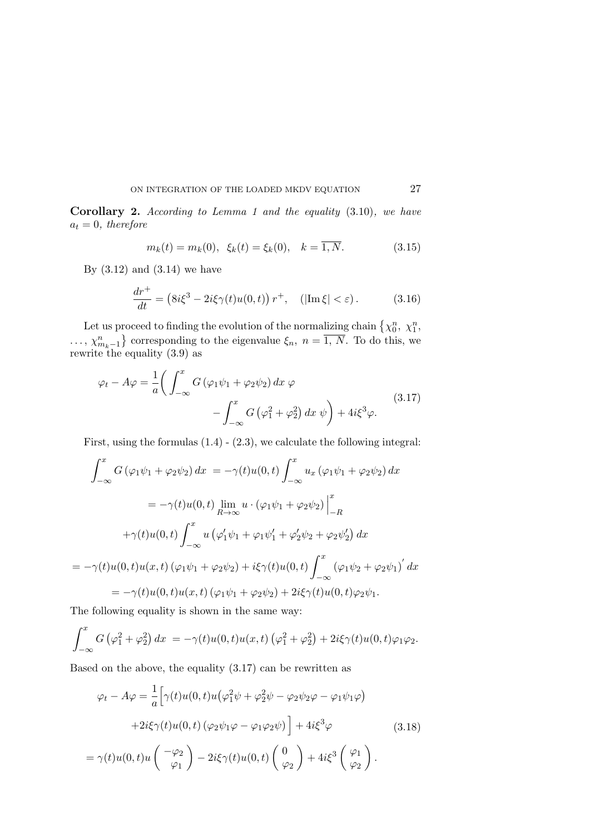Corollary 2. According to Lemma 1 and the equality (3.10), we have  $a_t = 0$ , therefore

$$
m_k(t) = m_k(0), \ \xi_k(t) = \xi_k(0), \ \ k = \overline{1, N}.
$$
 (3.15)

By  $(3.12)$  and  $(3.14)$  we have

$$
\frac{dr^+}{dt} = \left(8i\xi^3 - 2i\xi\gamma(t)u(0,t)\right)r^+, \quad (|\text{Im}\,\xi| < \varepsilon). \tag{3.16}
$$

Let us proceed to finding the evolution of the normalizing chain  $\{\chi_0^n, \chi_1^n\}$ Let us proceed to miding the evolution of the normalizing chain  $\{\chi_0, \chi_1, \ldots, \chi_{m_k-1}^n\}$  corresponding to the eigenvalue  $\xi_n$ ,  $n = \overline{1, N}$ . To do this, we rewrite the equality (3.9) as

$$
\varphi_t - A\varphi = \frac{1}{a} \left( \int_{-\infty}^x G(\varphi_1 \psi_1 + \varphi_2 \psi_2) dx \varphi - \int_{-\infty}^x G(\varphi_1^2 + \varphi_2^2) dx \psi \right) + 4i\xi^3 \varphi.
$$
\n(3.17)

First, using the formulas  $(1.4) - (2.3)$ , we calculate the following integral:

$$
\int_{-\infty}^{x} G(\varphi_1 \psi_1 + \varphi_2 \psi_2) dx = -\gamma(t)u(0, t) \int_{-\infty}^{x} u_x (\varphi_1 \psi_1 + \varphi_2 \psi_2) dx
$$
  

$$
= -\gamma(t)u(0, t) \lim_{R \to \infty} u \cdot (\varphi_1 \psi_1 + \varphi_2 \psi_2) \Big|_{-R}^{x}
$$
  

$$
+ \gamma(t)u(0, t) \int_{-\infty}^{x} u (\varphi_1' \psi_1 + \varphi_1 \psi_1' + \varphi_2' \psi_2 + \varphi_2 \psi_2') dx
$$
  

$$
= -\gamma(t)u(0, t)u(x, t) (\varphi_1 \psi_1 + \varphi_2 \psi_2) + i\xi \gamma(t)u(0, t) \int_{-\infty}^{x} (\varphi_1 \psi_2 + \varphi_2 \psi_1)' dx
$$
  

$$
= -\gamma(t)u(0, t)u(x, t) (\varphi_1 \psi_1 + \varphi_2 \psi_2) + 2i\xi \gamma(t)u(0, t)\varphi_2 \psi_1.
$$

The following equality is shown in the same way:

$$
\int_{-\infty}^{x} G\left(\varphi_1^2 + \varphi_2^2\right) dx = -\gamma(t)u(0, t)u(x, t)\left(\varphi_1^2 + \varphi_2^2\right) + 2i\xi\gamma(t)u(0, t)\varphi_1\varphi_2.
$$

Based on the above, the equality (3.17) can be rewritten as

$$
\varphi_t - A\varphi = \frac{1}{a} \Big[ \gamma(t)u(0, t)u(\varphi_1^2 \psi + \varphi_2^2 \psi - \varphi_2 \psi_2 \varphi - \varphi_1 \psi_1 \varphi) + 2i\xi \gamma(t)u(0, t) (\varphi_2 \psi_1 \varphi - \varphi_1 \varphi_2 \psi) \Big] + 4i\xi^3 \varphi
$$
(3.18)  
=  $\gamma(t)u(0, t)u\begin{pmatrix} -\varphi_2 \\ \varphi_1 \end{pmatrix} - 2i\xi \gamma(t)u(0, t)\begin{pmatrix} 0 \\ \varphi_2 \end{pmatrix} + 4i\xi^3 \begin{pmatrix} \varphi_1 \\ \varphi_2 \end{pmatrix}.$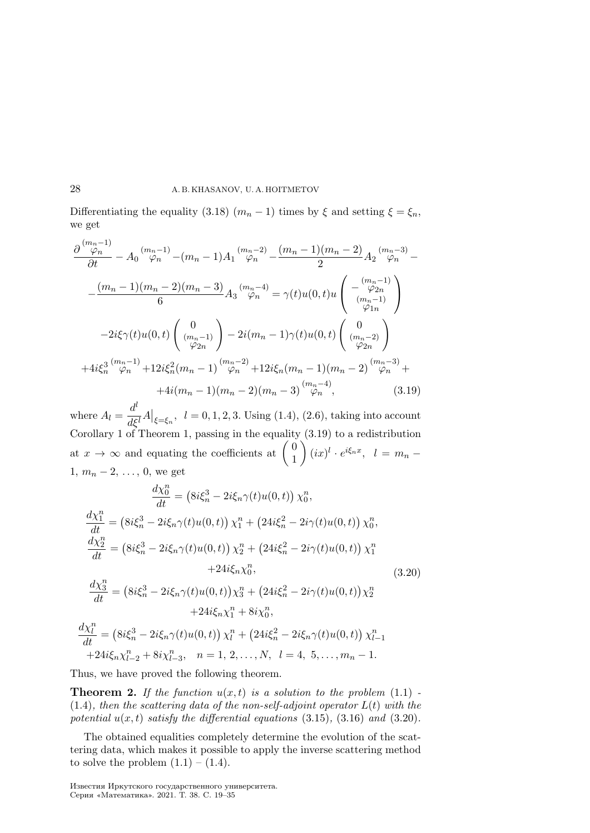Differentiating the equality (3.18)  $(m_n - 1)$  times by  $\xi$  and setting  $\xi = \xi_n$ , we get

$$
\frac{\partial \frac{(m_n-1)}{\varphi_n}}{\partial t} - A_0 \frac{(m_n-1)}{\varphi_n} - (m_n-1)A_1 \frac{(m_n-2)}{\varphi_n} - \frac{(m_n-1)(m_n-2)}{2}A_2 \frac{(m_n-3)}{\varphi_n} -
$$

$$
-\frac{(m_n-1)(m_n-2)(m_n-3)}{6}A_3 \frac{(m_n-4)}{\varphi_n} = \gamma(t)u(0,t)u\begin{pmatrix} -\frac{(m_n-1)}{\varphi_{2n}}\\ -\frac{2i\xi\gamma(t)u(0,t)}{\varphi_{2n}} \end{pmatrix}
$$

$$
-2i\xi\gamma(t)u(0,t)\begin{pmatrix} 0\\ (m_n-1)\\ \varphi_{2n} \end{pmatrix} - 2i(m_n-1)\gamma(t)u(0,t)\begin{pmatrix} 0\\ (m_n-2)\\ \varphi_{2n} \end{pmatrix}
$$

$$
+4i\xi_n^3 \frac{(m_n-1)}{\varphi_n} + 12i\xi_n^2(m_n-1) \frac{(m_n-2)}{\varphi_n} + 12i\xi_n(m_n-1)(m_n-2) \frac{(m_n-3)}{\varphi_n} +
$$

$$
+4i(m_n-1)(m_n-2)(m_n-3) \frac{(m_n-4)}{\varphi_n}, \qquad (3.19)
$$

where  $A_l = \frac{d^l}{dt^l}$  $\frac{d}{d\xi^{l}}A\big|_{\xi=\xi_{n}},\ \ l=0,1,2,3.$  Using (1.4), (2.6), taking into account Corollary 1 of Theorem 1, passing in the equality  $(3.19)$  to a redistribution at  $x \to \infty$  and equating the coefficients at  $\begin{pmatrix} 0 \\ 1 \end{pmatrix}$ 1  $\Bigg((ix)^l \cdot e^{i\xi_n x}, \quad l = m_n 1, m_n - 2, \ldots, 0$ , we get

$$
\frac{d\chi_0^n}{dt} = (8i\xi_n^3 - 2i\xi_n\gamma(t)u(0,t))\chi_0^n,
$$
\n
$$
\frac{d\chi_1^n}{dt} = (8i\xi_n^3 - 2i\xi_n\gamma(t)u(0,t))\chi_1^n + (24i\xi_n^2 - 2i\gamma(t)u(0,t))\chi_0^n,
$$
\n
$$
\frac{d\chi_2^n}{dt} = (8i\xi_n^3 - 2i\xi_n\gamma(t)u(0,t))\chi_2^n + (24i\xi_n^2 - 2i\gamma(t)u(0,t))\chi_1^n
$$
\n
$$
+ 24i\xi_n\chi_0^n,
$$
\n
$$
\frac{d\chi_3^n}{dt} = (8i\xi_n^3 - 2i\xi_n\gamma(t)u(0,t))\chi_3^n + (24i\xi_n^2 - 2i\gamma(t)u(0,t))\chi_2^n
$$
\n
$$
+ 24i\xi_n\chi_1^n + 8i\chi_0^n,
$$
\n
$$
\frac{d\chi_l^n}{dt} = (8i\xi_n^3 - 2i\xi_n\gamma(t)u(0,t))\chi_l^n + (24i\xi_n^2 - 2i\xi_n\gamma(t)u(0,t))\chi_{l-1}^n
$$
\n
$$
+ 24i\xi_n\chi_{l-2}^n + 8i\chi_{l-3}^n, \quad n = 1, 2, ..., N, \quad l = 4, 5, ..., m_n - 1.
$$
\n(8.12)

Thus, we have proved the following theorem.

**Theorem 2.** If the function  $u(x, t)$  is a solution to the problem  $(1.1)$ .  $(1.4)$ , then the scattering data of the non-self-adjoint operator  $L(t)$  with the potential  $u(x, t)$  satisfy the differential equations (3.15), (3.16) and (3.20).

The obtained equalities completely determine the evolution of the scattering data, which makes it possible to apply the inverse scattering method to solve the problem  $(1.1) - (1.4)$ .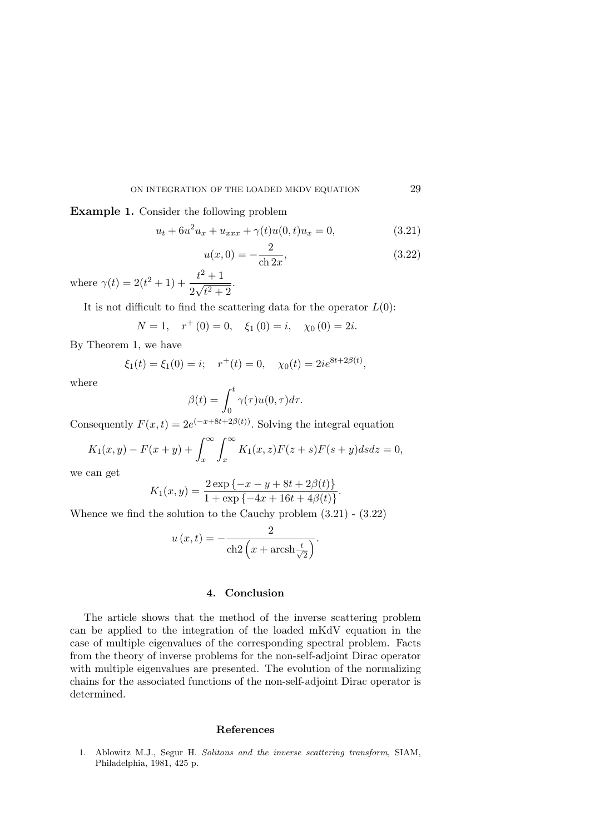Example 1. Consider the following problem

$$
u_t + 6u^2 u_x + u_{xxx} + \gamma(t)u(0, t)u_x = 0,
$$
\n(3.21)

$$
u(x,0) = -\frac{2}{\cosh 2x},
$$
\n(3.22)

where  $\gamma(t) = 2(t^2 + 1) + \frac{t^2 + 1}{2\sqrt{2}}$ 2  $\frac{v}{\sqrt{2}}$  $\sqrt{t^2+2}$ .

It is not difficult to find the scattering data for the operator  $L(0)$ :

$$
N = 1
$$
,  $r^+(0) = 0$ ,  $\xi_1(0) = i$ ,  $\chi_0(0) = 2i$ .

By Theorem 1, we have

$$
\xi_1(t) = \xi_1(0) = i;
$$
  $r^+(t) = 0,$   $\chi_0(t) = 2ie^{8t+2\beta(t)},$ 

where

$$
\beta(t) = \int_0^t \gamma(\tau)u(0,\tau)d\tau.
$$

Consequently  $F(x,t) = 2e^{(-x+8t+2\beta(t))}$ . Solving the integral equation

$$
K_1(x, y) - F(x + y) + \int_x^{\infty} \int_x^{\infty} K_1(x, z) F(z + s) F(s + y) ds dz = 0,
$$

we can get

$$
K_1(x,y) = \frac{2 \exp \{-x - y + 8t + 2\beta(t)\}}{1 + \exp \{-4x + 16t + 4\beta(t)\}}.
$$

Whence we find the solution to the Cauchy problem (3.21) - (3.22)

$$
u(x,t) = -\frac{2}{\cosh 2\left(x + \operatorname{arcsh}\frac{t}{\sqrt{2}}\right)}.
$$

# 4. Conclusion

The article shows that the method of the inverse scattering problem can be applied to the integration of the loaded mKdV equation in the case of multiple eigenvalues of the corresponding spectral problem. Facts from the theory of inverse problems for the non-self-adjoint Dirac operator with multiple eigenvalues are presented. The evolution of the normalizing chains for the associated functions of the non-self-adjoint Dirac operator is determined.

### References

1. Ablowitz M.J., Segur H. Solitons and the inverse scattering transform, SIAM, Philadelphia, 1981, 425 p.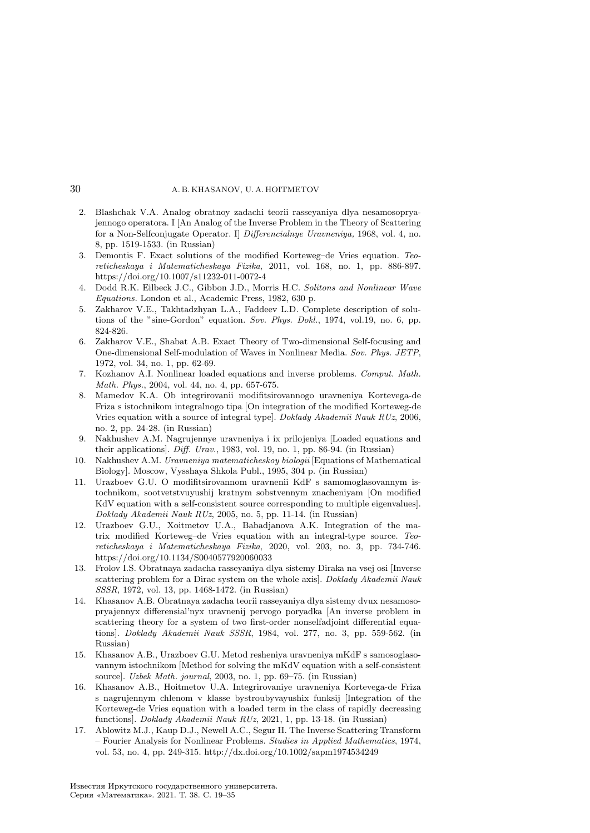- 2. Blashchak V.A. Analog obratnoy zadachi teorii rasseyaniya dlya nesamosopryajennogo operatora. I [An Analog of the Inverse Problem in the Theory of Scattering for a Non-Selfconjugate Operator. I] Differencialnye Uravneniya, 1968, vol. 4, no. 8, pp. 1519-1533. (in Russian)
- 3. Demontis F. Exact solutions of the modified Korteweg–de Vries equation. Teoreticheskaya i Matematicheskaya Fizika, 2011, vol. 168, no. 1, pp. 886-897. https://doi.org/10.1007/s11232-011-0072-4
- 4. Dodd R.K. Eilbeck J.C., Gibbon J.D., Morris H.C. Solitons and Nonlinear Wave Equations. London et al., Academic Press, 1982, 630 p.
- 5. Zakharov V.E., Takhtadzhyan L.A., Faddeev L.D. Complete description of solutions of the "sine-Gordon" equation. Sov. Phys. Dokl., 1974, vol.19, no. 6, pp. 824-826.
- 6. Zakharov V.E., Shabat A.B. Exact Theory of Two-dimensional Self-focusing and One-dimensional Self-modulation of Waves in Nonlinear Media. Sov. Phys. JETP, 1972, vol. 34, no. 1, pp. 62-69.
- 7. Kozhanov A.I. Nonlinear loaded equations and inverse problems. Comput. Math. Math. Phys., 2004, vol. 44, no. 4, pp. 657-675.
- 8. Mamedov K.A. Ob integrirovanii modifitsirovannogo uravneniya Kortevega-de Friza s istochnikom integralnogo tipa [On integration of the modified Korteweg-de Vries equation with a source of integral type]. Doklady Akademii Nauk RUz, 2006, no. 2, pp. 24-28. (in Russian)
- 9. Nakhushev A.M. Nagrujennye uravneniya i ix prilojeniya [Loaded equations and their applications]. Diff. Urav., 1983, vol. 19, no. 1, pp. 86-94. (in Russian)
- 10. Nakhushev A.M. Uravneniya matematicheskoy biologii [Equations of Mathematical Biology]. Moscow, Vysshaya Shkola Publ., 1995, 304 p. (in Russian)
- 11. Urazboev G.U. O modifitsirovannom uravnenii KdF s samomoglasovannym istochnikom, sootvetstvuyushij kratnym sobstvennym znacheniyam [On modified KdV equation with a self-consistent source corresponding to multiple eigenvalues]. Doklady Akademii Nauk RUz, 2005, no. 5, pp. 11-14. (in Russian)
- 12. Urazboev G.U., Xoitmetov U.A., Babadjanova A.K. Integration of the matrix modified Korteweg–de Vries equation with an integral-type source. Teoreticheskaya i Matematicheskaya Fizika, 2020, vol. 203, no. 3, pp. 734-746. https://doi.org/10.1134/S0040577920060033
- 13. Frolov I.S. Obratnaya zadacha rasseyaniya dlya sistemy Diraka na vsej osi [Inverse scattering problem for a Dirac system on the whole axis]. Doklady Akademii Nauk SSSR, 1972, vol. 13, pp. 1468-1472. (in Russian)
- 14. Khasanov A.B. Obratnaya zadacha teorii rasseyaniya dlya sistemy dvux nesamosopryajennyx differensial'nyx uravnenij pervogo poryadka [An inverse problem in scattering theory for a system of two first-order nonselfadjoint differential equations]. Doklady Akademii Nauk SSSR, 1984, vol. 277, no. 3, pp. 559-562. (in Russian)
- 15. Khasanov A.B., Urazboev G.U. Metod resheniya uravneniya mKdF s samosoglasovannym istochnikom [Method for solving the mKdV equation with a self-consistent source]. Uzbek Math. journal, 2003, no. 1, pp. 69–75. (in Russian)
- 16. Khasanov A.B., Hoitmetov U.A. Integrirovaniye uravneniya Kortevega-de Friza s nagrujennym chlenom v klasse bystroubyvayushix funksij [Integration of the Korteweg-de Vries equation with a loaded term in the class of rapidly decreasing functions]. Doklady Akademii Nauk RUz, 2021, 1, pp. 13-18. (in Russian)
- 17. Ablowitz M.J., Kaup D.J., Newell A.C., Segur H. The Inverse Scattering Transform – Fourier Analysis for Nonlinear Problems. Studies in Applied Mathematics, 1974, vol. 53, no. 4, pp. 249-315. http://dx.doi.org/10.1002/sapm1974534249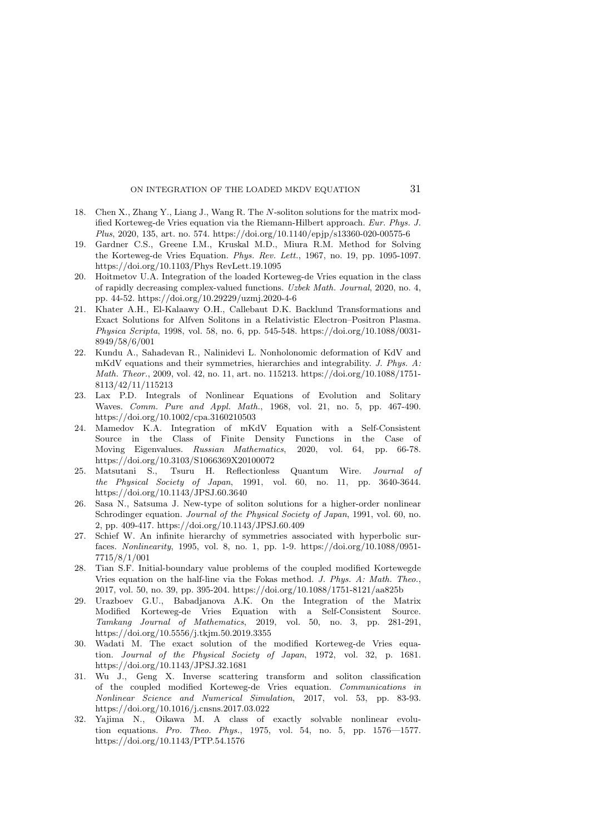- 18. Chen X., Zhang Y., Liang J., Wang R. The N-soliton solutions for the matrix modified Korteweg-de Vries equation via the Riemann-Hilbert approach. Eur. Phys. J. Plus, 2020, 135, art. no. 574. https://doi.org/10.1140/epjp/s13360-020-00575-6
- 19. Gardner C.S., Greene I.M., Kruskal M.D., Miura R.M. Method for Solving the Korteweg-de Vries Equation. Phys. Rev. Lett., 1967, no. 19, pp. 1095-1097. https://doi.org/10.1103/Phys RevLett.19.1095
- 20. Hoitmetov U.A. Integration of the loaded Korteweg-de Vries equation in the class of rapidly decreasing complex-valued functions. Uzbek Math. Journal, 2020, no. 4, pp. 44-52. https://doi.org/10.29229/uzmj.2020-4-6
- 21. Khater A.H., El-Kalaawy O.H., Callebaut D.K. Backlund Transformations and Exact Solutions for Alfven Solitons in a Relativistic Electron–Positron Plasma. Physica Scripta, 1998, vol. 58, no. 6, pp. 545-548. https://doi.org/10.1088/0031- 8949/58/6/001
- 22. Kundu A., Sahadevan R., Nalinidevi L. Nonholonomic deformation of KdV and mKdV equations and their symmetries, hierarchies and integrability. J. Phys. A: Math. Theor., 2009, vol. 42, no. 11, art. no. 115213. https://doi.org/10.1088/1751- 8113/42/11/115213
- 23. Lax P.D. Integrals of Nonlinear Equations of Evolution and Solitary Waves. Comm. Pure and Appl. Math., 1968, vol. 21, no. 5, pp. 467-490. https://doi.org/10.1002/cpa.3160210503
- 24. Mamedov K.A. Integration of mKdV Equation with a Self-Consistent Source in the Class of Finite Density Functions in the Case of Moving Eigenvalues. Russian Mathematics, 2020, vol. 64, pp. 66-78. https://doi.org/10.3103/S1066369X20100072
- 25. Matsutani S., Tsuru H. Reflectionless Quantum Wire. Journal of the Physical Society of Japan, 1991, vol. 60, no. 11, pp. 3640-3644. https://doi.org/10.1143/JPSJ.60.3640
- 26. Sasa N., Satsuma J. New-type of soliton solutions for a higher-order nonlinear Schrodinger equation. *Journal of the Physical Society of Japan*, 1991, vol. 60, no. 2, pp. 409-417. https://doi.org/10.1143/JPSJ.60.409
- 27. Schief W. An infinite hierarchy of symmetries associated with hyperbolic surfaces. Nonlinearity, 1995, vol. 8, no. 1, pp. 1-9. https://doi.org/10.1088/0951- 7715/8/1/001
- 28. Tian S.F. Initial-boundary value problems of the coupled modified Kortewegde Vries equation on the half-line via the Fokas method. J. Phys. A: Math. Theo., 2017, vol. 50, no. 39, pp. 395-204. https://doi.org/10.1088/1751-8121/aa825b
- 29. Urazboev G.U., Babadjanova A.K. On the Integration of the Matrix Modified Korteweg-de Vries Equation with a Self-Consistent Source. Tamkang Journal of Mathematics, 2019, vol. 50, no. 3, pp. 281-291, https://doi.org/10.5556/j.tkjm.50.2019.3355
- 30. Wadati M. The exact solution of the modified Korteweg-de Vries equation. Journal of the Physical Society of Japan, 1972, vol. 32, p. 1681. https://doi.org/10.1143/JPSJ.32.1681
- 31. Wu J., Geng X. Inverse scattering transform and soliton classification of the coupled modified Korteweg-de Vries equation. Communications in Nonlinear Science and Numerical Simulation, 2017, vol. 53, pp. 83-93. https://doi.org/10.1016/j.cnsns.2017.03.022
- 32. Yajima N., Oikawa M. A class of exactly solvable nonlinear evolution equations. Pro. Theo. Phys., 1975, vol. 54, no. 5, pp. 1576—1577. https://doi.org/10.1143/PTP.54.1576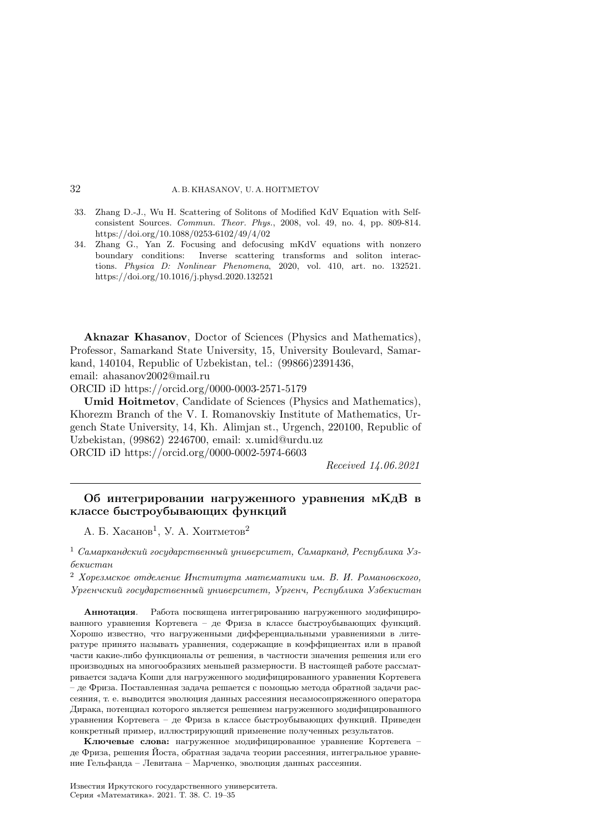- 33. Zhang D.-J., Wu H. Scattering of Solitons of Modified KdV Equation with Selfconsistent Sources. Commun. Theor. Phys., 2008, vol. 49, no. 4, pp. 809-814. https://doi.org/10.1088/0253-6102/49/4/02
- 34. Zhang G., Yan Z. Focusing and defocusing mKdV equations with nonzero boundary conditions: Inverse scattering transforms and soliton interactions. Physica D: Nonlinear Phenomena, 2020, vol. 410, art. no. 132521. https://doi.org/10.1016/j.physd.2020.132521

Aknazar Khasanov, Doctor of Sciences (Physics and Mathematics), Professor, Samarkand State University, 15, University Boulevard, Samarkand, 140104, Republic of Uzbekistan, tel.: (99866)2391436, email: ahasanov2002@mail.ru

ORCID iD https://orcid.org/0000-0003-2571-5179

Umid Hoitmetov, Candidate of Sciences (Physics and Mathematics), Khorezm Branch of the V. I. Romanovskiy Institute of Mathematics, Urgench State University, 14, Kh. Alimjan st., Urgench, 220100, Republic of Uzbekistan, (99862) 2246700, email: x.umid@urdu.uz ORCID iD https://orcid.org/0000-0002-5974-6603

Received 14.06.2021

# Об интегрировании нагруженного уравнения мКдВ в классе быстроубывающих функций

А. Б. Хасанов<sup>1</sup>, У. А. Хоитметов<sup>2</sup>

 $1$  Самаркандский государственный университет, Самарканд, Республика Узбекистан

<sup>2</sup> Хорезмское отделение Института математики им. В. И. Романовского, Ургенчский государственный университет, Ургенч, Республика Узбекистан

Аннотация. Работа посвящена интегрированию нагруженного модифицированного уравнения Кортевега – де Фриза в классе быстроубывающих функций. Хорошо известно, что нагруженными дифференциальными уравнениями в литературе принято называть уравнения, содержащие в коэффициентах или в правой части какие-либо функционалы от решения, в частности значения решения или его производных на многообразиях меньшей размерности. В настоящей работе рассматривается задача Коши для нагруженного модифицированного уравнения Кортевега – де Фриза. Поставленная задача решается с помощью метода обратной задачи рассеяния, т. е. выводится эволюция данных рассеяния несамосопряженного оператора Дирака, потенциал которого является решением нагруженного модифицированного уравнения Кортевега – де Фриза в классе быстроубывающих функций. Приведен конкретный пример, иллюстрирующий применение полученных результатов.

Ключевые слова: нагруженное модифицированное уравнение Кортевега – де Фриза, решения Йоста, обратная задача теории рассеяния, интегральное уравнение Гельфанда – Левитана – Марченко, эволюция данных рассеяния.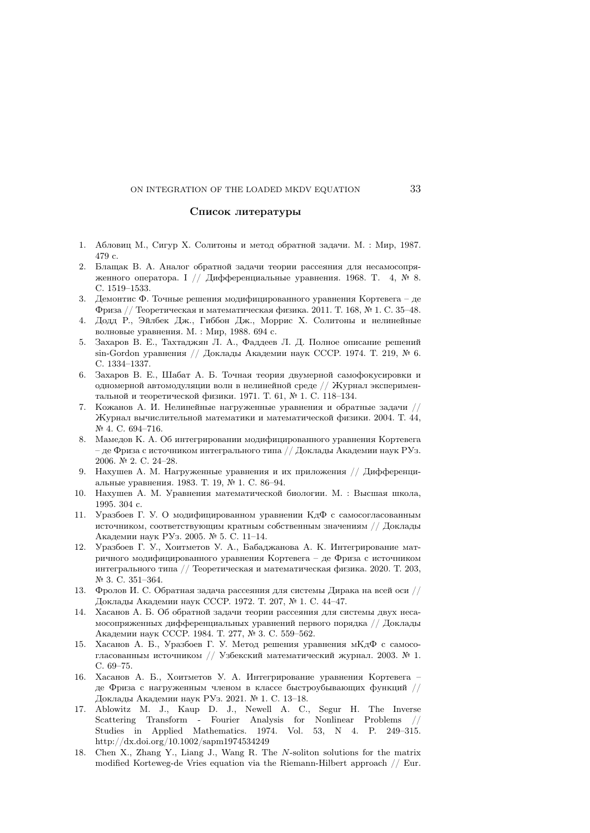#### Список литературы

- 1. Абловиц М., Сигур Х. Солитоны и метод обратной задачи. М. : Мир, 1987. 479 с.
- 2. Блащак В. А. Аналог обратной задачи теории рассеяния для несамосопряженного оператора. I // Дифференциальные уравнения. 1968. T. 4, № 8. С. 1519–1533.
- 3. Демонтис Ф. Точные решения модифицированного уравнения Кортевега де Фриза // Теоретическая и математическая физика. 2011. Т. 168, № 1. С. 35–48.
- 4. Додд Р., Эйлбек Дж., Гиббон Дж., Моррис Х. Солитоны и нелинейные волновые уравнения. М. : Мир, 1988. 694 с.
- 5. Захаров В. Е., Тахтаджян Л. А., Фаддеев Л. Д. Полное описание решений sin-Gordon уравнения // Доклады Академии наук СССР. 1974. Т. 219, № 6. С. 1334–1337.
- 6. Захаров В. Е., Шабат А. Б. Точная теория двумерной самофокусировки и одномерной автомодуляции волн в нелинейной среде // Журнал экспериментальной и теоретической физики. 1971. Т. 61, № 1. С. 118–134.
- 7. Кожанов А. И. Нелинейные нагруженные уравнения и обратные задачи // Журнал вычислительной математики и математической физики. 2004. Т. 44, № 4. С. 694-716.
- 8. Мамедов К. А. Об интегрировании модифицированного уравнения Кортевега – де Фриза с источником интегрального типа // Доклады Академии наук РУз. 2006. № 2. С. 24–28.
- 9. Нахушев А. М. Нагруженные уравнения и их приложения // Дифференциальные уравнения. 1983. Т. 19, № 1. С. 86–94.
- 10. Нахушев А. М. Уравнения математической биологии. М. : Высшая школа, 1995. 304 с.
- 11. Уразбоев Г. У. О модифицированном уравнении КдФ с самосогласованным источником, соответствующим кратным собственным значениям // Доклады Академии наук РУз. 2005. № 5. С. 11–14.
- 12. Уразбоев Г. У., Хоитметов У. А., Бабаджанова А. К. Интегрирование матричного модифицированного уравнения Кортевега – де Фриза с источником интегрального типа // Теоретическая и математическая физика. 2020. Т. 203, № 3. С. 351–364.
- 13. Фролов И. С. Обратная задача рассеяния для системы Дирака на всей оси // Доклады Академии наук СССР. 1972. Т. 207, № 1. С. 44–47.
- 14. Хасанов А. Б. Об обратной задачи теории рассеяния для системы двух несамосопряженных дифференциальных уравнений первого порядка // Доклады Академии наук СССР. 1984. Т. 277, № 3. С. 559–562.
- 15. Хасанов А. Б., Уразбоев Г. У. Метод решения уравнения мКдФ с самосогласованным источником // Узбекский математический журнал. 2003. № 1. С. 69–75.
- 16. Хасанов А. Б., Хоитметов У. А. Интегрирование уравнения Кортевега де Фриза с нагруженным членом в классе быстроубывающих функций // Доклады Академии наук РУз. 2021. № 1. С. 13–18.
- 17. Ablowitz M. J., Kaup D. J., Newell A. C., Segur H. The Inverse Scattering Transform - Fourier Analysis for Nonlinear Problems // Studies in Applied Mathematics. 1974. Vol. 53, N 4. P. 249–315. http://dx.doi.org/10.1002/sapm1974534249
- 18. Chen X., Zhang Y., Liang J., Wang R. The  $N$ -soliton solutions for the matrix modified Korteweg-de Vries equation via the Riemann-Hilbert approach // Eur.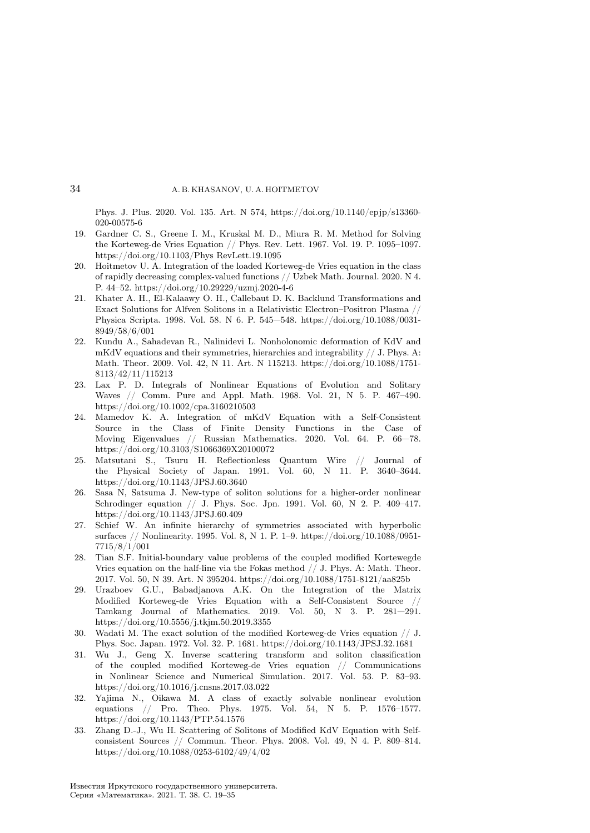Phys. J. Plus. 2020. Vol. 135. Art. N 574, https://doi.org/10.1140/epjp/s13360- 020-00575-6

- 19. Gardner C. S., Greene I. M., Kruskal M. D., Miura R. M. Method for Solving the Korteweg-de Vries Equation // Phys. Rev. Lett. 1967. Vol. 19. P. 1095–1097. https://doi.org/10.1103/Phys RevLett.19.1095
- 20. Hoitmetov U. A. Integration of the loaded Korteweg-de Vries equation in the class of rapidly decreasing complex-valued functions // Uzbek Math. Journal. 2020. N 4. P. 44–52. https://doi.org/10.29229/uzmj.2020-4-6
- 21. Khater A. H., El-Kalaawy O. H., Callebaut D. K. Backlund Transformations and Exact Solutions for Alfven Solitons in a Relativistic Electron–Positron Plasma // Physica Scripta. 1998. Vol. 58. N 6. P. 545—548. https://doi.org/10.1088/0031- 8949/58/6/001
- 22. Kundu A., Sahadevan R., Nalinidevi L. Nonholonomic deformation of KdV and mKdV equations and their symmetries, hierarchies and integrability // J. Phys. A: Math. Theor. 2009. Vol. 42, N 11. Art. N 115213. https://doi.org/10.1088/1751- 8113/42/11/115213
- 23. Lax P. D. Integrals of Nonlinear Equations of Evolution and Solitary Waves // Comm. Pure and Appl. Math. 1968. Vol. 21, N 5. P. 467–490. https://doi.org/10.1002/cpa.3160210503
- 24. Mamedov K. A. Integration of mKdV Equation with a Self-Consistent Source in the Class of Finite Density Functions in the Case of Moving Eigenvalues // Russian Mathematics. 2020. Vol. 64. P. 66—78. https://doi.org/10.3103/S1066369X20100072
- 25. Matsutani S., Tsuru H. Reflectionless Quantum Wire // Journal of the Physical Society of Japan. 1991. Vol. 60, N 11. P. 3640–3644. https://doi.org/10.1143/JPSJ.60.3640
- 26. Sasa N, Satsuma J. New-type of soliton solutions for a higher-order nonlinear Schrodinger equation // J. Phys. Soc. Jpn. 1991. Vol. 60, N 2. P. 409–417. https://doi.org/10.1143/JPSJ.60.409
- 27. Schief W. An infinite hierarchy of symmetries associated with hyperbolic surfaces // Nonlinearity. 1995. Vol. 8, N 1. P. 1–9. https://doi.org/10.1088/0951- 7715/8/1/001
- 28. Tian S.F. Initial-boundary value problems of the coupled modified Kortewegde Vries equation on the half-line via the Fokas method // J. Phys. A: Math. Theor. 2017. Vol. 50, N 39. Art. N 395204. https://doi.org/10.1088/1751-8121/aa825b
- 29. Urazboev G.U., Babadjanova A.K. On the Integration of the Matrix Modified Korteweg-de Vries Equation with a Self-Consistent Source // Tamkang Journal of Mathematics. 2019. Vol. 50, N 3. P. 281—291. https://doi.org/10.5556/j.tkjm.50.2019.3355
- 30. Wadati M. The exact solution of the modified Korteweg-de Vries equation // J. Phys. Soc. Japan. 1972. Vol. 32. P. 1681. https://doi.org/10.1143/JPSJ.32.1681
- 31. Wu J., Geng X. Inverse scattering transform and soliton classification of the coupled modified Korteweg-de Vries equation  $//$  Communications in Nonlinear Science and Numerical Simulation. 2017. Vol. 53. P. 83–93. https://doi.org/10.1016/j.cnsns.2017.03.022
- 32. Yajima N., Oikawa M. A class of exactly solvable nonlinear evolution equations // Pro. Theo. Phys. 1975. Vol. 54, N 5. P. 1576–1577. https://doi.org/10.1143/PTP.54.1576
- 33. Zhang D.-J., Wu H. Scattering of Solitons of Modified KdV Equation with Selfconsistent Sources // Commun. Theor. Phys. 2008. Vol. 49, N 4. P. 809–814. https://doi.org/10.1088/0253-6102/49/4/02